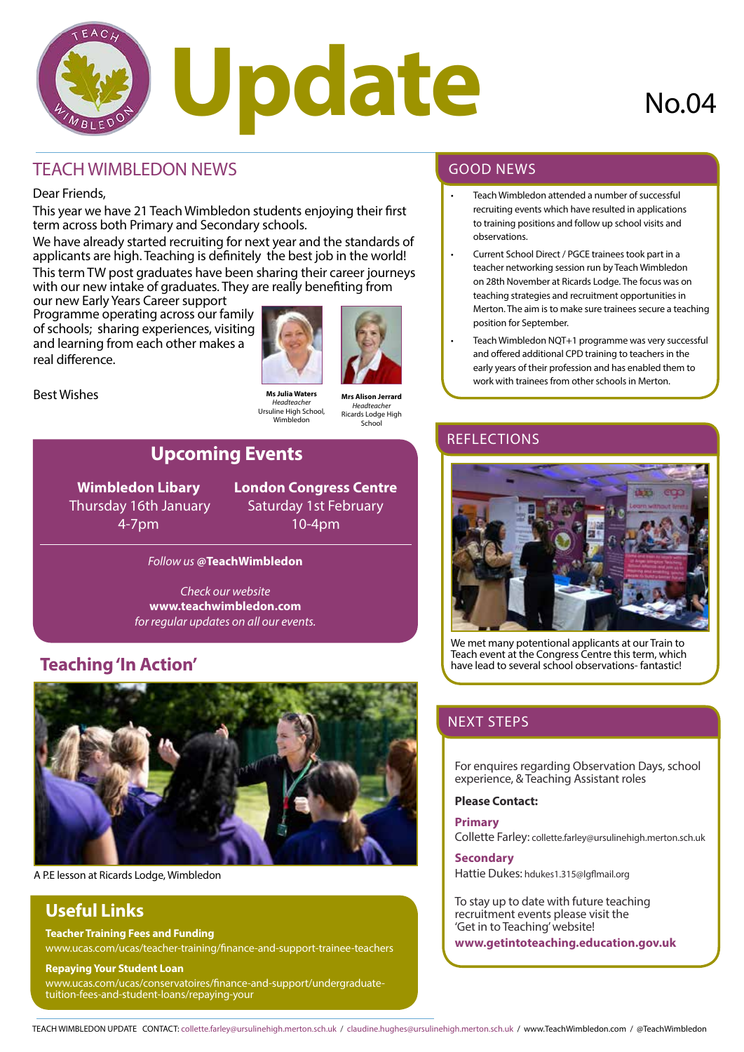

## TEACH WIMBLEDON NEWS

#### Dear Friends,

This year we have 21 Teach Wimbledon students enjoying their first term across both Primary and Secondary schools.

We have already started recruiting for next year and the standards of applicants are high. Teaching is definitely the best job in the world! This term TW post graduates have been sharing their career journeys with our new intake of graduates. They are really benefiting from

our new Early Years Career support Programme operating across our family of schools; sharing experiences, visiting and learning from each other makes a real difference.



Best Wishes

**Ms Julia Waters** *Headteacher* Ursuline High School, Wimbledon

**Mrs Alison Jerrard** *Headteacher* Ricards Lodge High School

# **Upcoming Events**

**Wimbledon Libary** Thursday 16th January 4-7pm

**London Congress Centre** Saturday 1st February 10-4pm

#### *Follow us* **@TeachWimbledon**

*Check our website*  **www.teachwimbledon.com** *for regular updates on all our events.*

# **Teaching 'In Action'**



A P.E lesson at Ricards Lodge, Wimbledon

# **Useful Links**

**Teacher Training Fees and Funding**

www.ucas.com/ucas/teacher-training/finance-and-support-trainee-teachers

#### **Repaying Your Student Loan**

www.ucas.com/ucas/conservatoires/finance-and-support/undergraduatetuition-fees-and-student-loans/repaying-your

#### GOOD NEWS

- Teach Wimbledon attended a number of successful recruiting events which have resulted in applications to training positions and follow up school visits and observations.
- Current School Direct / PGCE trainees took part in a teacher networking session run by Teach Wimbledon on 28th November at Ricards Lodge. The focus was on teaching strategies and recruitment opportunities in Merton. The aim is to make sure trainees secure a teaching position for September.
- Teach Wimbledon NQT+1 programme was very successful and offered additional CPD training to teachers in the early years of their profession and has enabled them to work with trainees from other schools in Merton.

### **REFLECTIONS**



We met many potentional applicants at our Train to Teach event at the Congress Centre this term, which have lead to several school observations- fantastic!

# NEXT STEPS

For enquires regarding Observation Days, school experience, & Teaching Assistant roles

#### **Please Contact:**

#### **Primary**

Collette Farley: collette.farley@ursulinehigh.merton.sch.uk

#### **Secondary**

Hattie Dukes: hdukes1.315@lgflmail.org

To stay up to date with future teaching recruitment events please visit the 'Get in to Teaching' website!

**www.getintoteaching.education.gov.uk**